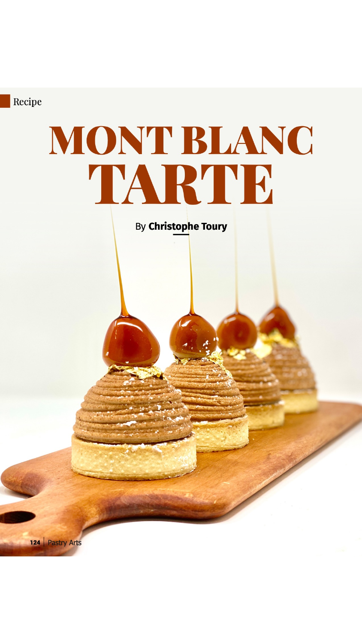

124 Pastry Arts

# MONT BLANC TARTE

By Christophe Toury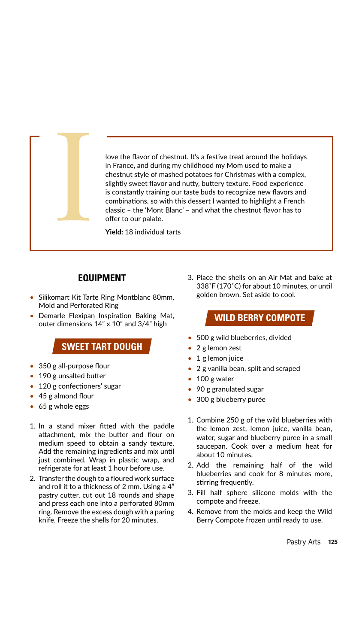

love the flavor of chestnut. It's a festive treat around the holidays in France, and during my childhood my Mom used to make a chestnut style of mashed potatoes for Christmas with a complex, slightly sweet flavor and nutty, buttery texture. Food experience is constantly training our taste buds to recognize new flavors and combinations, so with this dessert I wanted to highlight a French classic - the 'Mont Blanc' - and what the chestnut flavor has to offer to our palate.

Yield: 18 individual tarts

### **EQUIPMENT**

- Silikomart Kit Tarte Ring Montblanc 80mm, Mold and Perforated Ring
- Demarle Flexipan Inspiration Baking Mat, outer dimensions 14" x 10" and 3/4" high

# **SWEET TART DOUGH**

- 350 g all-purpose flour
- 190 g unsalted butter
- 120 g confectioners' sugar
- $\bullet$  45 g almond flour
- $\bullet$  65 g whole eggs
- 1. In a stand mixer fitted with the paddle attachment, mix the butter and flour on medium speed to obtain a sandy texture. Add the remaining ingredients and mix until just combined. Wrap in plastic wrap, and refrigerate for at least 1 hour before use.
- 2. Transfer the dough to a floured work surface and roll it to a thickness of 2 mm. Using a 4" pastry cutter, cut out 18 rounds and shape and press each one into a perforated 80mm ring. Remove the excess dough with a paring knife. Freeze the shells for 20 minutes.

3. Place the shells on an Air Mat and bake at 338°F (170°C) for about 10 minutes, or until golden brown. Set aside to cool.

# **WILD BERRY COMPOTE**

- 500 g wild blueberries, divided
- $\bullet$  2 g lemon zest
- $\bullet$  1 g lemon juice
- 2 g vanilla bean, split and scraped
- $\bullet$  100 g water
- 90 g granulated sugar
- · 300 g blueberry purée
- 1. Combine 250 g of the wild blueberries with the lemon zest, lemon juice, vanilla bean, water, sugar and blueberry puree in a small saucepan. Cook over a medium heat for about 10 minutes.
- 2. Add the remaining half of the wild blueberries and cook for 8 minutes more, stirring frequently.
- 3. Fill half sphere silicone molds with the compote and freeze.
- 4. Remove from the molds and keep the Wild Berry Compote frozen until ready to use.

Pastry Arts | 125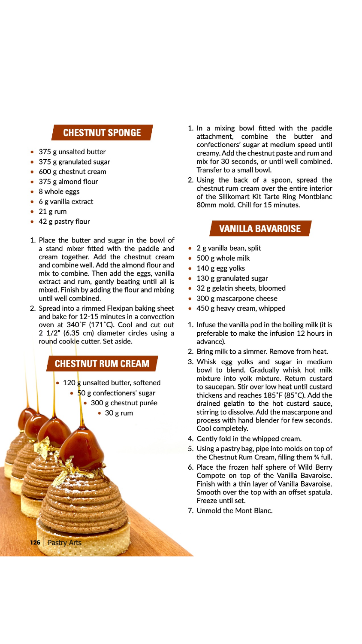## **CHESTNUT SPONGE**

- 375 g unsalted butter
- 375 g granulated sugar
- 600 g chestnut cream
- 375 g almond flour
- 8 whole eggs
- 6 g vanilla extract
- $\bullet$  21 g rum
- 42 g pastry flour

126 | Pastry Arts

- 1. Place the butter and sugar in the bowl of a stand mixer fitted with the paddle and cream together. Add the chestnut cream and combine well. Add the almond flour and mix to combine. Then add the eggs, vanilla extract and rum, gently beating until all is mixed. Finish by adding the flour and mixing until well combined.
- 2. Spread into a rimmed Flexipan baking sheet and bake for 12-15 minutes in a convection oven at 340°F (171°C). Cool and cut out 2 1/2" (6.35 cm) diameter circles using a round cookie cutter. Set aside.

# **CHESTNUT RUM CREAM**

- 120 g unsalted butter, softened
	- $\bullet$  50 g confectioners' sugar
		- · 300 g chestnut purée
			- $\bullet$  30 g rum
- 1. In a mixing bowl fitted with the paddle attachment, combine the butter and confectioners' sugar at medium speed until creamy. Add the chestnut paste and rum and mix for 30 seconds, or until well combined. Transfer to a small bowl.
- 2. Using the back of a spoon, spread the chestnut rum cream over the entire interior of the Silikomart Kit Tarte Ring Montblanc 80mm mold. Chill for 15 minutes.

# **VANILLA BAVAROISE**

- 2 g vanilla bean, split
- 500 g whole milk
- $\cdot$  140 g egg yolks
- 130 g granulated sugar
- 32 g gelatin sheets, bloomed
- 300 g mascarpone cheese
- 450 g heavy cream, whipped
- 1. Infuse the vanilla pod in the boiling milk (it is preferable to make the infusion 12 hours in advance).
- 2. Bring milk to a simmer. Remove from heat.
- 3. Whisk egg yolks and sugar in medium bowl to blend. Gradually whisk hot milk mixture into yolk mixture. Return custard to saucepan. Stir over low heat until custard thickens and reaches 185°F (85°C). Add the drained gelatin to the hot custard sauce, stirring to dissolve. Add the mascarpone and process with hand blender for few seconds. Cool completely.
- 4. Gently fold in the whipped cream.
- 5. Using a pastry bag, pipe into molds on top of the Chestnut Rum Cream, filling them % full.
- 6. Place the frozen half sphere of Wild Berry Compote on top of the Vanilla Bavaroise. Finish with a thin layer of Vanilla Bavaroise. Smooth over the top with an offset spatula. Freeze until set.
- 7. Unmold the Mont Blanc.